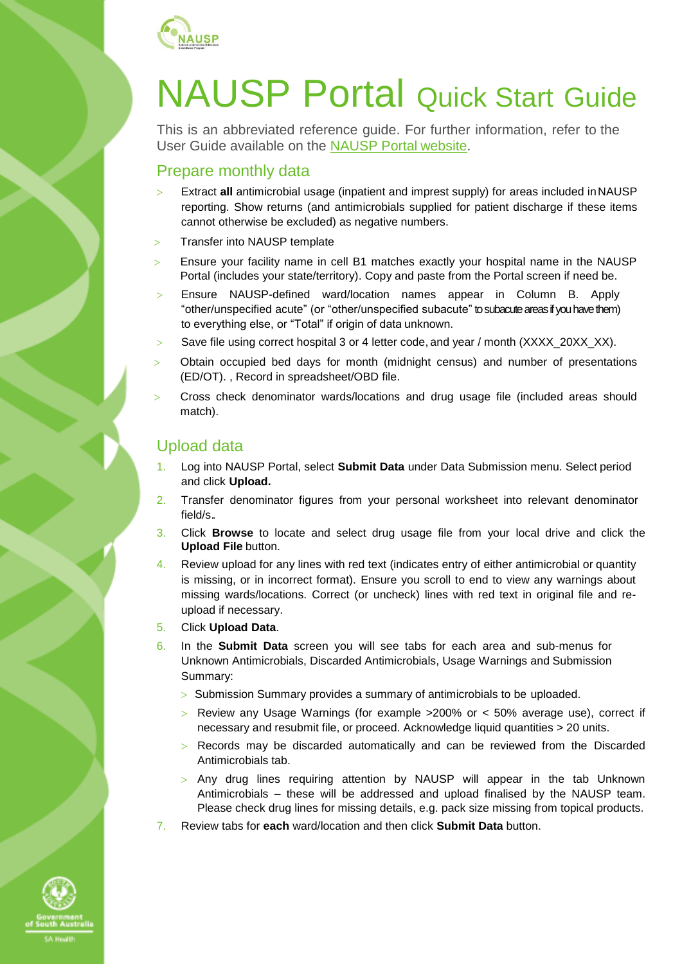

# NAUSP Portal Quick Start Guide

This is an abbreviated reference guide. For further information, refer to the User Guide available on the [NAUSP Portal](https://www.sahealth.sa.gov.au/wps/wcm/connect/public+content/sa+health+internet/clinical+resources/clinical+programs+and+practice+guidelines/infection+and+injury+management/antimicrobial+stewardship/national+antimicrobial+utilisation+surveillance+program+nausp/national+antimicrobial+utilisation+surveillance+program+portal) website.

## Prepare monthly data

- Extract **all** antimicrobial usage (inpatient and imprest supply) for areas included inNAUSP reporting. Show returns (and antimicrobials supplied for patient discharge if these items cannot otherwise be excluded) as negative numbers.
- > Transfer into NAUSP template
- Ensure your facility name in cell B1 matches exactly your hospital name in the NAUSP Portal (includes your state/territory). Copy and paste from the Portal screen if need be.
- > Ensure NAUSP-defined ward/location names appear in Column B. Apply "other/unspecified acute" (or "other/unspecified subacute" to subacute areas if you have them) to everything else, or "Total" if origin of data unknown.
- > Save file using correct hospital 3 or 4 letter code, and year / month (XXXX\_20XX\_XX).
- Obtain occupied bed days for month (midnight census) and number of presentations (ED/OT). , Record in spreadsheet/OBD file.
- $>$  Cross check denominator wards/locations and drug usage file (included areas should match).

### Upload data

- 1. Log into NAUSP Portal, select **Submit Data** under Data Submission menu. Select period and click **Upload.**
- 2. Transfer denominator figures from your personal worksheet into relevant denominator field/s..
- 3. Click **Browse** to locate and select drug usage file from your local drive and click the **Upload File** button.
- 4. Review upload for any lines with red text (indicates entry of either antimicrobial or quantity is missing, or in incorrect format). Ensure you scroll to end to view any warnings about missing wards/locations. Correct (or uncheck) lines with red text in original file and reupload if necessary.
- 5. Click **Upload Data**.
- 6. In the **Submit Data** screen you will see tabs for each area and sub-menus for Unknown Antimicrobials, Discarded Antimicrobials, Usage Warnings and Submission Summary:
	- > Submission Summary provides a summary of antimicrobials to be uploaded.
	- $>$  Review any Usage Warnings (for example  $>$ 200% or  $<$  50% average use), correct if necessary and resubmit file, or proceed. Acknowledge liquid quantities > 20 units.
	- Records may be discarded automatically and can be reviewed from the Discarded Antimicrobials tab.
	- > Any drug lines requiring attention by NAUSP will appear in the tab Unknown Antimicrobials – these will be addressed and upload finalised by the NAUSP team. Please check drug lines for missing details, e.g. pack size missing from topical products.
- 7. Review tabs for **each** ward/location and then click **Submit Data** button.

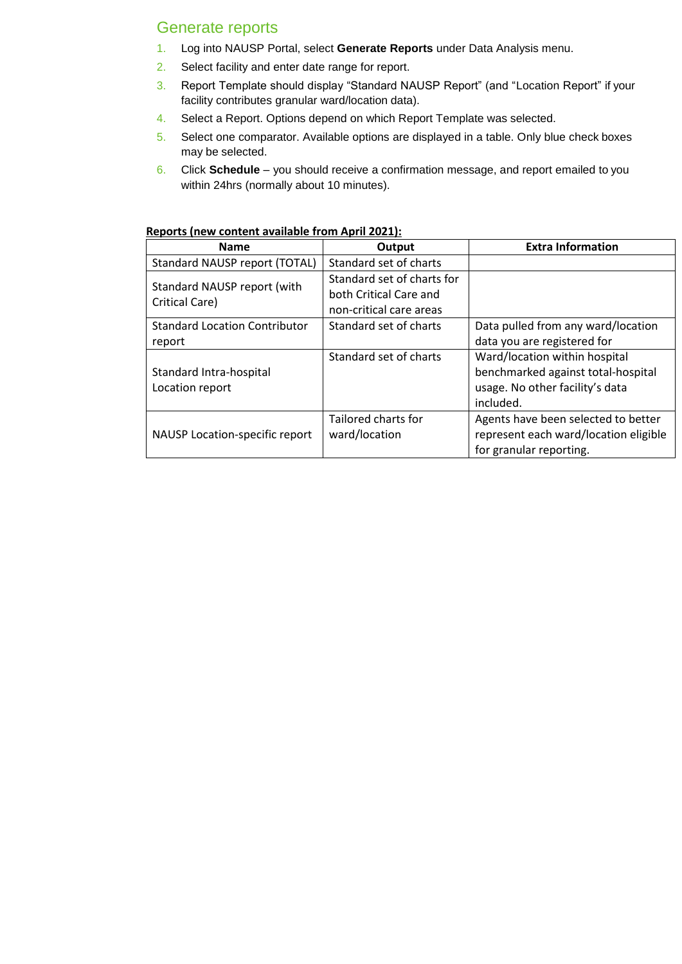## Generate reports

- 1. Log into NAUSP Portal, select **Generate Reports** under Data Analysis menu.
- 2. Select facility and enter date range for report.
- 3. Report Template should display "Standard NAUSP Report" (and "Location Report" if your facility contributes granular ward/location data).
- 4. Select a Report. Options depend on which Report Template was selected.
- 5. Select one comparator. Available options are displayed in a table. Only blue check boxes may be selected.
- 6. Click **Schedule**  you should receive a confirmation message, and report emailed to you within 24hrs (normally about 10 minutes).

| <b>Name</b>                          | Output                     | <b>Extra Information</b>              |
|--------------------------------------|----------------------------|---------------------------------------|
| Standard NAUSP report (TOTAL)        | Standard set of charts     |                                       |
| Standard NAUSP report (with          | Standard set of charts for |                                       |
| Critical Care)                       | both Critical Care and     |                                       |
|                                      | non-critical care areas    |                                       |
| <b>Standard Location Contributor</b> | Standard set of charts     | Data pulled from any ward/location    |
| report                               |                            | data you are registered for           |
|                                      | Standard set of charts     | Ward/location within hospital         |
| Standard Intra-hospital              |                            | benchmarked against total-hospital    |
| Location report                      |                            | usage. No other facility's data       |
|                                      |                            | included.                             |
|                                      | Tailored charts for        | Agents have been selected to better   |
| NAUSP Location-specific report       | ward/location              | represent each ward/location eligible |
|                                      |                            | for granular reporting.               |

#### **Reports (new content available from April 2021):**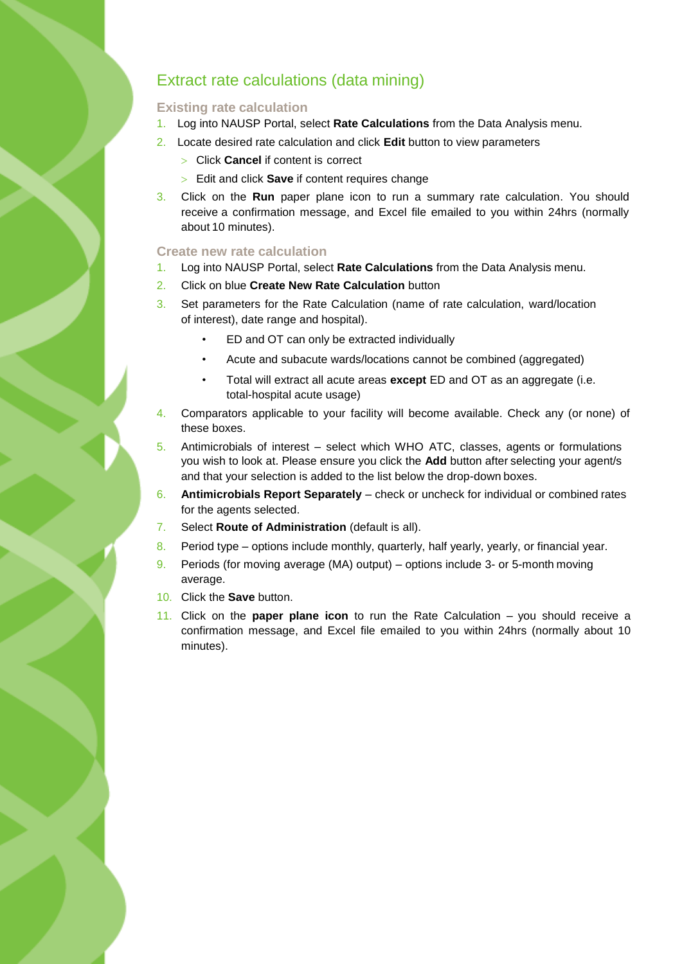## Extract rate calculations (data mining)

#### **Existing rate calculation**

- 1. Log into NAUSP Portal, select **Rate Calculations** from the Data Analysis menu.
- 2. Locate desired rate calculation and click **Edit** button to view parameters
	- Click **Cancel** if content is correct
	- Edit and click **Save** if content requires change
- 3. Click on the **Run** paper plane icon to run a summary rate calculation. You should receive a confirmation message, and Excel file emailed to you within 24hrs (normally about 10 minutes).

#### **Create new rate calculation**

- 1. Log into NAUSP Portal, select **Rate Calculations** from the Data Analysis menu.
- 2. Click on blue **Create New Rate Calculation** button
- 3. Set parameters for the Rate Calculation (name of rate calculation, ward/location of interest), date range and hospital).
	- ED and OT can only be extracted individually
	- Acute and subacute wards/locations cannot be combined (aggregated)
	- Total will extract all acute areas **except** ED and OT as an aggregate (i.e. total-hospital acute usage)
- 4. Comparators applicable to your facility will become available. Check any (or none) of these boxes.
- 5. Antimicrobials of interest select which WHO ATC, classes, agents or formulations you wish to look at. Please ensure you click the **Add** button after selecting your agent/s and that your selection is added to the list below the drop-down boxes.
- 6. **Antimicrobials Report Separately**  check or uncheck for individual or combined rates for the agents selected.
- 7. Select **Route of Administration** (default is all).
- 8. Period type options include monthly, quarterly, half yearly, yearly, or financial year.
- 9. Periods (for moving average (MA) output) options include 3- or 5-month moving average.
- 10. Click the **Save** button.
- 11. Click on the **paper plane icon** to run the Rate Calculation you should receive a confirmation message, and Excel file emailed to you within 24hrs (normally about 10 minutes).